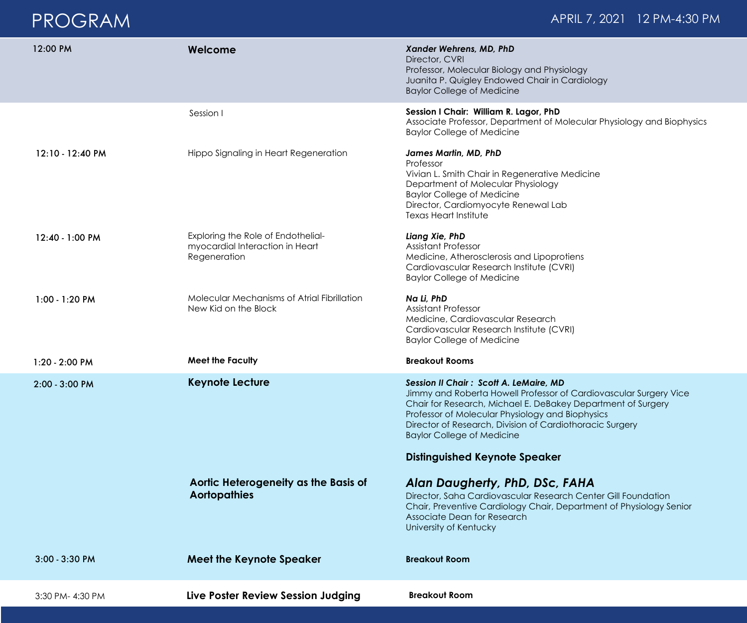## PROGRAM

| 12:00 PM         | Welcome                                                                               | Xander Wehrens, MD, PhD<br>Director, CVRI<br>Professor, Molecular Biology and Physiology<br>Juanita P. Quigley Endowed Chair in Cardiology<br><b>Baylor College of Medicine</b>                                                                                                                                                                                                 |
|------------------|---------------------------------------------------------------------------------------|---------------------------------------------------------------------------------------------------------------------------------------------------------------------------------------------------------------------------------------------------------------------------------------------------------------------------------------------------------------------------------|
|                  | Session I                                                                             | Session I Chair: William R. Lagor, PhD<br>Associate Professor, Department of Molecular Physiology and Biophysics<br><b>Baylor College of Medicine</b>                                                                                                                                                                                                                           |
| 12:10 - 12:40 PM | Hippo Signaling in Heart Regeneration                                                 | <b>James Martin, MD, PhD</b><br>Professor<br>Vivian L. Smith Chair in Regenerative Medicine<br>Department of Molecular Physiology<br><b>Baylor College of Medicine</b><br>Director, Cardiomyocyte Renewal Lab<br><b>Texas Heart Institute</b>                                                                                                                                   |
| 12:40 - 1:00 PM  | Exploring the Role of Endothelial-<br>myocardial Interaction in Heart<br>Regeneration | Liang Xie, PhD<br><b>Assistant Professor</b><br>Medicine, Atherosclerosis and Lipoprotiens<br>Cardiovascular Research Institute (CVRI)<br><b>Baylor College of Medicine</b>                                                                                                                                                                                                     |
| 1:00 - 1:20 PM   | Molecular Mechanisms of Atrial Fibrillation<br>New Kid on the Block                   | Na Li, PhD<br><b>Assistant Professor</b><br>Medicine, Cardiovascular Research<br>Cardiovascular Research Institute (CVRI)<br><b>Baylor College of Medicine</b>                                                                                                                                                                                                                  |
| 1:20 - 2:00 PM   | <b>Meet the Faculty</b>                                                               | <b>Breakout Rooms</b>                                                                                                                                                                                                                                                                                                                                                           |
| 2:00 - 3:00 PM   | <b>Keynote Lecture</b>                                                                | <b>Session II Chair: Scott A. LeMaire, MD</b><br>Jimmy and Roberta Howell Professor of Cardiovascular Surgery Vice<br>Chair for Research, Michael E. DeBakey Department of Surgery<br>Professor of Molecular Physiology and Biophysics<br>Director of Research, Division of Cardiothoracic Surgery<br><b>Baylor College of Medicine</b><br><b>Distinguished Keynote Speaker</b> |
|                  | Aortic Heterogeneity as the Basis of<br><b>Aortopathies</b>                           | Alan Daugherty, PhD, DSc, FAHA<br>Director, Saha Cardiovascular Research Center Gill Foundation<br>Chair, Preventive Cardiology Chair, Department of Physiology Senior<br>Associate Dean for Research<br>University of Kentucky                                                                                                                                                 |
| $3:00 - 3:30$ PM | <b>Meet the Keynote Speaker</b>                                                       | <b>Breakout Room</b>                                                                                                                                                                                                                                                                                                                                                            |
| 3:30 PM-4:30 PM  | Live Poster Review Session Judging                                                    | <b>Breakout Room</b>                                                                                                                                                                                                                                                                                                                                                            |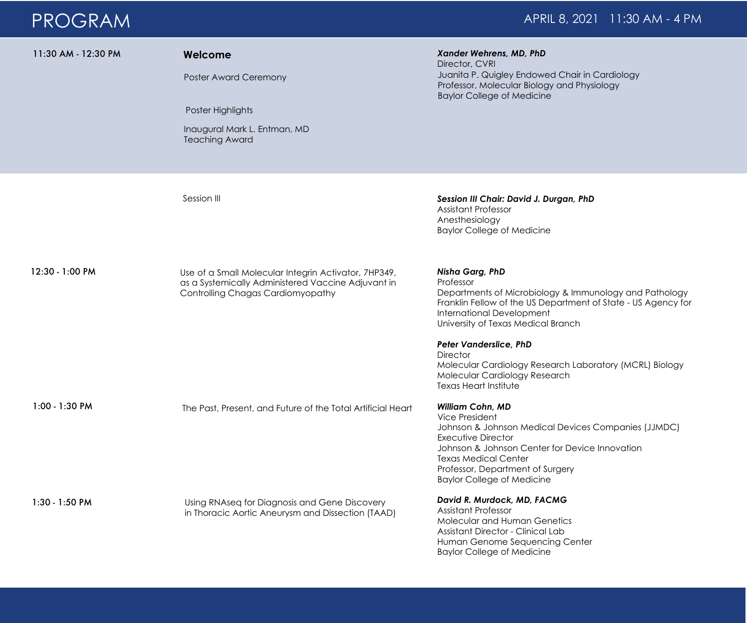## PROGRAM APRIL 8, 2021 11:30 AM - 4 PM

| 11:30 AM - 12:30 PM | Welcome<br>Poster Award Ceremony<br>Poster Highlights<br>Inaugural Mark L. Entman, MD<br><b>Teaching Award</b>                                  | Xander Wehrens, MD, PhD<br>Director, CVRI<br>Juanita P. Quigley Endowed Chair in Cardiology<br>Professor, Molecular Biology and Physiology<br><b>Baylor College of Medicine</b>                                                                                                         |
|---------------------|-------------------------------------------------------------------------------------------------------------------------------------------------|-----------------------------------------------------------------------------------------------------------------------------------------------------------------------------------------------------------------------------------------------------------------------------------------|
|                     | Session III                                                                                                                                     | Session III Chair: David J. Durgan, PhD<br><b>Assistant Professor</b><br>Anesthesiology<br><b>Baylor College of Medicine</b>                                                                                                                                                            |
| 12:30 - 1:00 PM     | Use of a Small Molecular Integrin Activator, 7HP349,<br>as a Systemically Administered Vaccine Adjuvant in<br>Controlling Chagas Cardiomyopathy | <b>Nisha Garg, PhD</b><br>Professor<br>Departments of Microbiology & Immunology and Pathology<br>Franklin Fellow of the US Department of State - US Agency for<br><b>International Development</b><br>University of Texas Medical Branch                                                |
|                     |                                                                                                                                                 | <b>Peter Vanderslice, PhD</b><br><b>Director</b><br>Molecular Cardiology Research Laboratory (MCRL) Biology<br>Molecular Cardiology Research<br>Texas Heart Institute                                                                                                                   |
| 1:00 - 1:30 PM      | The Past, Present, and Future of the Total Artificial Heart                                                                                     | <b>William Cohn, MD</b><br>Vice President<br>Johnson & Johnson Medical Devices Companies (JJMDC)<br><b>Executive Director</b><br>Johnson & Johnson Center for Device Innovation<br><b>Texas Medical Center</b><br>Professor, Department of Surgery<br><b>Baylor College of Medicine</b> |
| 1:30 - 1:50 PM      | Using RNAseq for Diagnosis and Gene Discovery<br>in Thoracic Aortic Aneurysm and Dissection (TAAD)                                              | David R. Murdock, MD, FACMG<br><b>Assistant Professor</b><br>Molecular and Human Genetics<br>Assistant Director - Clinical Lab<br>Human Genome Sequencing Center                                                                                                                        |

Baylor College of Medicine